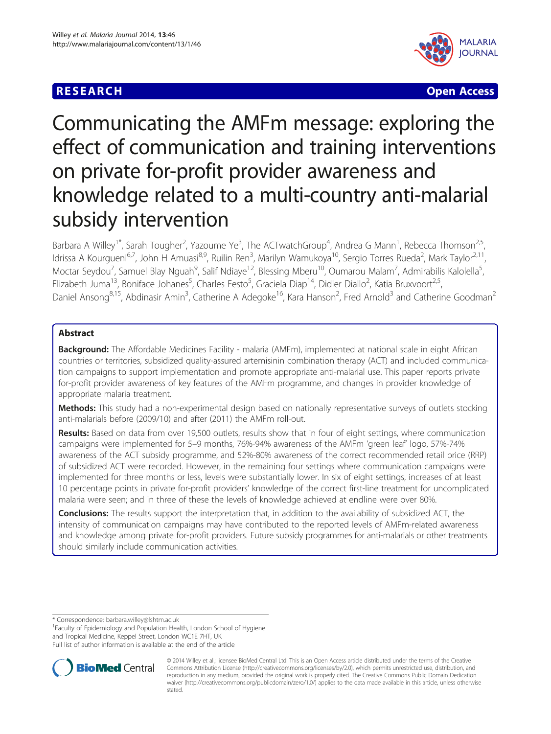## **RESEARCH CHEAR CHEAR CHEAR CHEAR CHEAR CHEAR CHEAR CHEAR CHEAR CHEAR CHEAR CHEAR CHEAR CHEAR CHEAR CHEAR CHEAR**



# Communicating the AMFm message: exploring the effect of communication and training interventions on private for-profit provider awareness and knowledge related to a multi-country anti-malarial subsidy intervention

Barbara A Willey<sup>1\*</sup>, Sarah Tougher<sup>2</sup>, Yazoume Ye<sup>3</sup>, The ACTwatchGroup<sup>4</sup>, Andrea G Mann<sup>1</sup>, Rebecca Thomson<sup>2,5</sup>, ldrissa A Kourgueni<sup>6,7</sup>, John H Amuasi<sup>8,9</sup>, Ruilin Ren<sup>3</sup>, Marilyn Wamukoya<sup>10</sup>, Sergio Torres Rueda<sup>2</sup>, Mark Taylor<sup>2,11</sup>, Moctar Seydou<sup>7</sup>, Samuel Blay Nguah<sup>9</sup>, Salif Ndiaye<sup>12</sup>, Blessing Mberu<sup>10</sup>, Oumarou Malam<sup>7</sup>, Admirabilis Kalolella<sup>5</sup> , Elizabeth Juma<sup>13</sup>, Boniface Johanes<sup>5</sup>, Charles Festo<sup>5</sup>, Graciela Diap<sup>14</sup>, Didier Diallo<sup>2</sup>, Katia Bruxvoort<sup>2,5</sup>, Daniel Ansong<sup>8,15</sup>, Abdinasir Amin<sup>3</sup>, Catherine A Adegoke<sup>16</sup>, Kara Hanson<sup>2</sup>, Fred Arnold<sup>3</sup> and Catherine Goodman<sup>2</sup>

## Abstract

**Background:** The Affordable Medicines Facility - malaria (AMFm), implemented at national scale in eight African countries or territories, subsidized quality-assured artemisinin combination therapy (ACT) and included communication campaigns to support implementation and promote appropriate anti-malarial use. This paper reports private for-profit provider awareness of key features of the AMFm programme, and changes in provider knowledge of appropriate malaria treatment.

Methods: This study had a non-experimental design based on nationally representative surveys of outlets stocking anti-malarials before (2009/10) and after (2011) the AMFm roll-out.

Results: Based on data from over 19,500 outlets, results show that in four of eight settings, where communication campaigns were implemented for 5–9 months, 76%-94% awareness of the AMFm 'green leaf' logo, 57%-74% awareness of the ACT subsidy programme, and 52%-80% awareness of the correct recommended retail price (RRP) of subsidized ACT were recorded. However, in the remaining four settings where communication campaigns were implemented for three months or less, levels were substantially lower. In six of eight settings, increases of at least 10 percentage points in private for-profit providers' knowledge of the correct first-line treatment for uncomplicated malaria were seen; and in three of these the levels of knowledge achieved at endline were over 80%.

Conclusions: The results support the interpretation that, in addition to the availability of subsidized ACT, the intensity of communication campaigns may have contributed to the reported levels of AMFm-related awareness and knowledge among private for-profit providers. Future subsidy programmes for anti-malarials or other treatments should similarly include communication activities.

\* Correspondence: [barbara.willey@lshtm.ac.uk](mailto:barbara.willey@lshtm.ac.uk) <sup>1</sup>

<sup>1</sup>Faculty of Epidemiology and Population Health, London School of Hygiene and Tropical Medicine, Keppel Street, London WC1E 7HT, UK Full list of author information is available at the end of the article



© 2014 Willey et al.; licensee BioMed Central Ltd. This is an Open Access article distributed under the terms of the Creative Commons Attribution License [\(http://creativecommons.org/licenses/by/2.0\)](http://creativecommons.org/licenses/by/2.0), which permits unrestricted use, distribution, and reproduction in any medium, provided the original work is properly cited. The Creative Commons Public Domain Dedication waiver [\(http://creativecommons.org/publicdomain/zero/1.0/\)](http://creativecommons.org/publicdomain/zero/1.0/) applies to the data made available in this article, unless otherwise stated.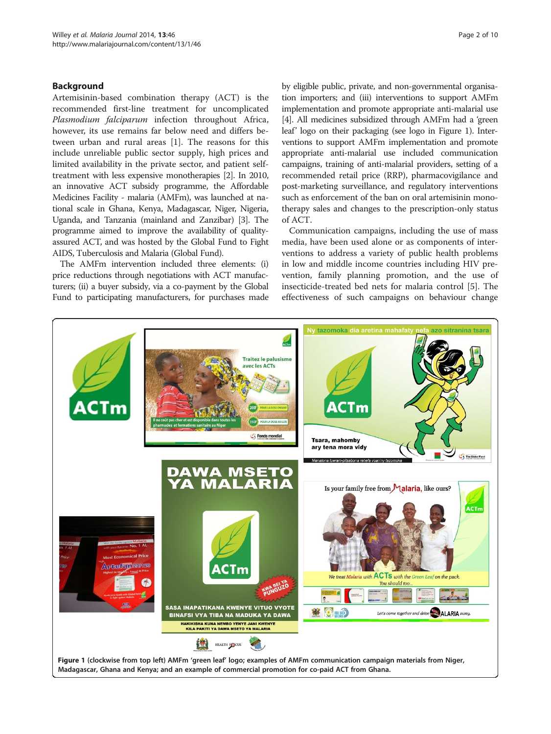#### <span id="page-1-0"></span>Background

Artemisinin-based combination therapy (ACT) is the recommended first-line treatment for uncomplicated Plasmodium falciparum infection throughout Africa, however, its use remains far below need and differs between urban and rural areas [[1\]](#page-9-0). The reasons for this include unreliable public sector supply, high prices and limited availability in the private sector, and patient selftreatment with less expensive monotherapies [\[2](#page-9-0)]. In 2010, an innovative ACT subsidy programme, the Affordable Medicines Facility - malaria (AMFm), was launched at national scale in Ghana, Kenya, Madagascar, Niger, Nigeria, Uganda, and Tanzania (mainland and Zanzibar) [[3](#page-9-0)]. The programme aimed to improve the availability of qualityassured ACT, and was hosted by the Global Fund to Fight AIDS, Tuberculosis and Malaria (Global Fund).

The AMFm intervention included three elements: (i) price reductions through negotiations with ACT manufacturers; (ii) a buyer subsidy, via a co-payment by the Global Fund to participating manufacturers, for purchases made by eligible public, private, and non-governmental organisation importers; and (iii) interventions to support AMFm implementation and promote appropriate anti-malarial use [[4](#page-9-0)]. All medicines subsidized through AMFm had a 'green leaf' logo on their packaging (see logo in Figure 1). Interventions to support AMFm implementation and promote appropriate anti-malarial use included communication campaigns, training of anti-malarial providers, setting of a

recommended retail price (RRP), pharmacovigilance and post-marketing surveillance, and regulatory interventions such as enforcement of the ban on oral artemisinin monotherapy sales and changes to the prescription-only status of ACT.

Communication campaigns, including the use of mass media, have been used alone or as components of interventions to address a variety of public health problems in low and middle income countries including HIV prevention, family planning promotion, and the use of insecticide-treated bed nets for malaria control [\[5](#page-9-0)]. The effectiveness of such campaigns on behaviour change

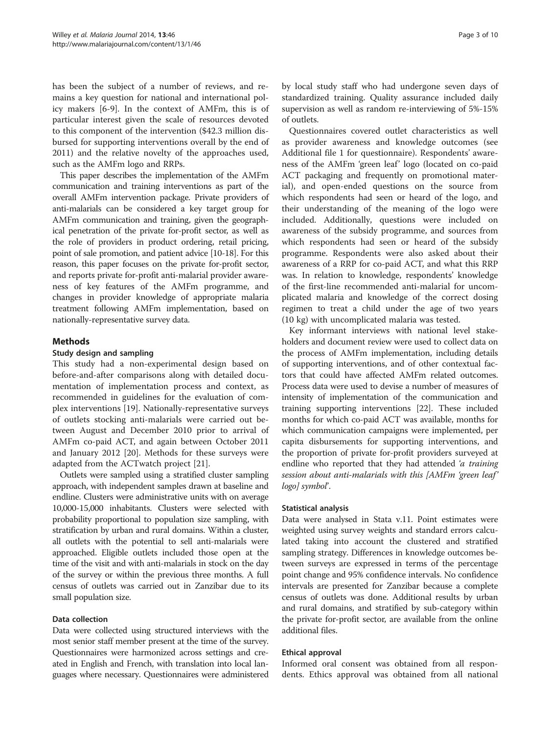has been the subject of a number of reviews, and remains a key question for national and international policy makers [[6-9\]](#page-9-0). In the context of AMFm, this is of particular interest given the scale of resources devoted to this component of the intervention (\$42.3 million disbursed for supporting interventions overall by the end of 2011) and the relative novelty of the approaches used, such as the AMFm logo and RRPs.

This paper describes the implementation of the AMFm communication and training interventions as part of the overall AMFm intervention package. Private providers of anti-malarials can be considered a key target group for AMFm communication and training, given the geographical penetration of the private for-profit sector, as well as the role of providers in product ordering, retail pricing, point of sale promotion, and patient advice [\[10-18\]](#page-9-0). For this reason, this paper focuses on the private for-profit sector, and reports private for-profit anti-malarial provider awareness of key features of the AMFm programme, and changes in provider knowledge of appropriate malaria treatment following AMFm implementation, based on nationally-representative survey data.

## Methods

## Study design and sampling

This study had a non-experimental design based on before-and-after comparisons along with detailed documentation of implementation process and context, as recommended in guidelines for the evaluation of complex interventions [[19](#page-9-0)]. Nationally-representative surveys of outlets stocking anti-malarials were carried out between August and December 2010 prior to arrival of AMFm co-paid ACT, and again between October 2011 and January 2012 [\[20\]](#page-9-0). Methods for these surveys were adapted from the ACTwatch project [\[21](#page-9-0)].

Outlets were sampled using a stratified cluster sampling approach, with independent samples drawn at baseline and endline. Clusters were administrative units with on average 10,000-15,000 inhabitants. Clusters were selected with probability proportional to population size sampling, with stratification by urban and rural domains. Within a cluster, all outlets with the potential to sell anti-malarials were approached. Eligible outlets included those open at the time of the visit and with anti-malarials in stock on the day of the survey or within the previous three months. A full census of outlets was carried out in Zanzibar due to its small population size.

## Data collection

Data were collected using structured interviews with the most senior staff member present at the time of the survey. Questionnaires were harmonized across settings and created in English and French, with translation into local languages where necessary. Questionnaires were administered by local study staff who had undergone seven days of standardized training. Quality assurance included daily supervision as well as random re-interviewing of 5%-15% of outlets.

Questionnaires covered outlet characteristics as well as provider awareness and knowledge outcomes (see Additional file [1](#page-7-0) for questionnaire). Respondents' awareness of the AMFm 'green leaf' logo (located on co-paid ACT packaging and frequently on promotional material), and open-ended questions on the source from which respondents had seen or heard of the logo, and their understanding of the meaning of the logo were included. Additionally, questions were included on awareness of the subsidy programme, and sources from which respondents had seen or heard of the subsidy programme. Respondents were also asked about their awareness of a RRP for co-paid ACT, and what this RRP was. In relation to knowledge, respondents' knowledge of the first-line recommended anti-malarial for uncomplicated malaria and knowledge of the correct dosing regimen to treat a child under the age of two years (10 kg) with uncomplicated malaria was tested.

Key informant interviews with national level stakeholders and document review were used to collect data on the process of AMFm implementation, including details of supporting interventions, and of other contextual factors that could have affected AMFm related outcomes. Process data were used to devise a number of measures of intensity of implementation of the communication and training supporting interventions [\[22\]](#page-9-0). These included months for which co-paid ACT was available, months for which communication campaigns were implemented, per capita disbursements for supporting interventions, and the proportion of private for-profit providers surveyed at endline who reported that they had attended 'a training session about anti-malarials with this [AMFm 'green leaf' logo] symbol'.

#### Statistical analysis

Data were analysed in Stata v.11. Point estimates were weighted using survey weights and standard errors calculated taking into account the clustered and stratified sampling strategy. Differences in knowledge outcomes between surveys are expressed in terms of the percentage point change and 95% confidence intervals. No confidence intervals are presented for Zanzibar because a complete census of outlets was done. Additional results by urban and rural domains, and stratified by sub-category within the private for-profit sector, are available from the online additional files.

## Ethical approval

Informed oral consent was obtained from all respondents. Ethics approval was obtained from all national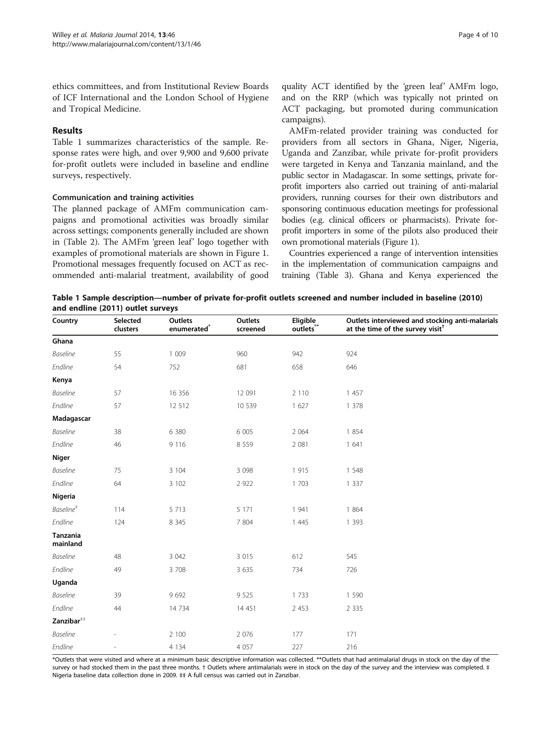ethics committees, and from Institutional Review Boards of ICF International and the London School of Hygiene and Tropical Medicine.

## Results

Table 1 summarizes characteristics of the sample. Response rates were high, and over 9,900 and 9,600 private for-profit outlets were included in baseline and endline surveys, respectively.

#### Communication and training activities

The planned package of AMFm communication campaigns and promotional activities was broadly similar across settings; components generally included are shown in (Table [2\)](#page-4-0). The AMFm 'green leaf' logo together with examples of promotional materials are shown in Figure [1](#page-1-0). Promotional messages frequently focused on ACT as recommended anti-malarial treatment, availability of good quality ACT identified by the 'green leaf' AMFm logo, and on the RRP (which was typically not printed on ACT packaging, but promoted during communication campaigns).

AMFm-related provider training was conducted for providers from all sectors in Ghana, Niger, Nigeria, Uganda and Zanzibar, while private for-profit providers were targeted in Kenya and Tanzania mainland, and the public sector in Madagascar. In some settings, private forprofit importers also carried out training of anti-malarial providers, running courses for their own distributors and sponsoring continuous education meetings for professional bodies (e.g. clinical officers or pharmacists). Private forprofit importers in some of the pilots also produced their own promotional materials (Figure [1](#page-1-0)).

Countries experienced a range of intervention intensities in the implementation of communication campaigns and training (Table [3](#page-4-0)). Ghana and Kenya experienced the

Table 1 Sample description—number of private for-profit outlets screened and number included in baseline (2010) and endline (2011) outlet surveys

| Country                | Selected<br>clusters | Outlets<br>enumerated <sup>*</sup> | <b>Outlets</b><br>screened | Eligible<br>outlets** | Outlets interviewed and stocking anti-malarials<br>at the time of the survey visit <sup>†</sup> |
|------------------------|----------------------|------------------------------------|----------------------------|-----------------------|-------------------------------------------------------------------------------------------------|
| Ghana                  |                      |                                    |                            |                       |                                                                                                 |
| <b>Baseline</b>        | 55                   | 1 0 0 9                            | 960                        | 942                   | 924                                                                                             |
| Endline                | 54                   | 752                                | 681                        | 658                   | 646                                                                                             |
| Kenya                  |                      |                                    |                            |                       |                                                                                                 |
| <b>Baseline</b>        | 57                   | 16 35 6                            | 12 091                     | 2 1 1 0               | 1 457                                                                                           |
| Endline                | 57                   | 12 512                             | 10 539                     | 1 627                 | 1 378                                                                                           |
| Madagascar             |                      |                                    |                            |                       |                                                                                                 |
| <b>Baseline</b>        | 38                   | 6 3 8 0                            | 6 0 0 5                    | 2 0 6 4               | 1 854                                                                                           |
| Endline                | 46                   | 9 1 1 6                            | 8 5 5 9                    | 2 081                 | 1 641                                                                                           |
| <b>Niger</b>           |                      |                                    |                            |                       |                                                                                                 |
| <b>Baseline</b>        | 75                   | 3 104                              | 3 0 9 8                    | 1 9 1 5               | 1 5 4 8                                                                                         |
| Endline                | 64                   | 3 1 0 2                            | 2 9 2 2                    | 1 703                 | 1 3 3 7                                                                                         |
| Nigeria                |                      |                                    |                            |                       |                                                                                                 |
| Baseline <sup>#</sup>  | 114                  | 5 7 1 3                            | 5 1 7 1                    | 1 941                 | 1 864                                                                                           |
| Endline                | 124                  | 8 3 4 5                            | 7 804                      | 1 4 4 5               | 1 3 9 3                                                                                         |
| Tanzania<br>mainland   |                      |                                    |                            |                       |                                                                                                 |
| <b>Baseline</b>        | 48                   | 3 0 4 2                            | 3 0 1 5                    | 612                   | 545                                                                                             |
| Endline                | 49                   | 3 7 0 8                            | 3 6 3 5                    | 734                   | 726                                                                                             |
| Uganda                 |                      |                                    |                            |                       |                                                                                                 |
| <b>Baseline</b>        | 39                   | 9692                               | 9 5 2 5                    | 1 7 3 3               | 1 5 9 0                                                                                         |
| Endline                | 44                   | 14 7 34                            | 14 451                     | 2 4 5 3               | 2 3 3 5                                                                                         |
| Zanzibar <sup>##</sup> |                      |                                    |                            |                       |                                                                                                 |
| Baseline               |                      | 2 100                              | 2 0 7 6                    | 177                   | 171                                                                                             |
| Endline                |                      | 4 1 3 4                            | 4 0 5 7                    | 227                   | 216                                                                                             |

\*Outlets that were visited and where at a minimum basic descriptive information was collected. \*\*Outlets that had antimalarial drugs in stock on the day of the survey or had stocked them in the past three months. † Outlets where antimalarials were in stock on the day of the survey and the interview was completed. ‡ Nigeria baseline data collection done in 2009. ‡‡ A full census was carried out in Zanzibar.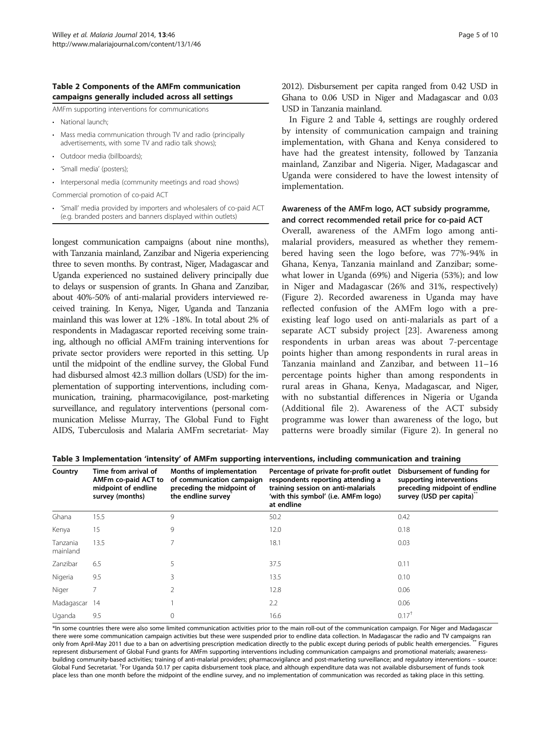#### <span id="page-4-0"></span>Table 2 Components of the AMFm communication campaigns generally included across all settings

AMFm supporting interventions for communications

- National launch;
- Mass media communication through TV and radio (principally advertisements, with some TV and radio talk shows);
- Outdoor media (billboards);
- 'Small media' (posters);
- Interpersonal media (community meetings and road shows)

Commercial promotion of co-paid ACT

• 'Small' media provided by importers and wholesalers of co-paid ACT (e.g. branded posters and banners displayed within outlets)

longest communication campaigns (about nine months), with Tanzania mainland, Zanzibar and Nigeria experiencing three to seven months. By contrast, Niger, Madagascar and Uganda experienced no sustained delivery principally due to delays or suspension of grants. In Ghana and Zanzibar, about 40%-50% of anti-malarial providers interviewed received training. In Kenya, Niger, Uganda and Tanzania mainland this was lower at 12% -18%. In total about 2% of respondents in Madagascar reported receiving some training, although no official AMFm training interventions for private sector providers were reported in this setting. Up until the midpoint of the endline survey, the Global Fund had disbursed almost 42.3 million dollars (USD) for the implementation of supporting interventions, including communication, training, pharmacovigilance, post-marketing surveillance, and regulatory interventions (personal communication Melisse Murray, The Global Fund to Fight AIDS, Tuberculosis and Malaria AMFm secretariat- May 2012). Disbursement per capita ranged from 0.42 USD in Ghana to 0.06 USD in Niger and Madagascar and 0.03 USD in Tanzania mainland.

In Figure [2](#page-5-0) and Table [4](#page-5-0), settings are roughly ordered by intensity of communication campaign and training implementation, with Ghana and Kenya considered to have had the greatest intensity, followed by Tanzania mainland, Zanzibar and Nigeria. Niger, Madagascar and Uganda were considered to have the lowest intensity of implementation.

## Awareness of the AMFm logo, ACT subsidy programme, and correct recommended retail price for co-paid ACT

Overall, awareness of the AMFm logo among antimalarial providers, measured as whether they remembered having seen the logo before, was 77%-94% in Ghana, Kenya, Tanzania mainland and Zanzibar; somewhat lower in Uganda (69%) and Nigeria (53%); and low in Niger and Madagascar (26% and 31%, respectively) (Figure [2](#page-5-0)). Recorded awareness in Uganda may have reflected confusion of the AMFm logo with a preexisting leaf logo used on anti-malarials as part of a separate ACT subsidy project [\[23\]](#page-9-0). Awareness among respondents in urban areas was about 7-percentage points higher than among respondents in rural areas in Tanzania mainland and Zanzibar, and between 11–16 percentage points higher than among respondents in rural areas in Ghana, Kenya, Madagascar, and Niger, with no substantial differences in Nigeria or Uganda (Additional file [2\)](#page-7-0). Awareness of the ACT subsidy programme was lower than awareness of the logo, but patterns were broadly similar (Figure [2](#page-5-0)). In general no

| Country              | Time from arrival of<br>AMFm co-paid ACT to<br>midpoint of endline<br>survey (months) | Months of implementation<br>of communication campaign<br>preceding the midpoint of<br>the endline survey | Percentage of private for-profit outlet<br>respondents reporting attending a<br>training session on anti-malarials<br>'with this symbol' (i.e. AMFm logo)<br>at endline | Disbursement of funding for<br>supporting interventions<br>preceding midpoint of endline<br>survey (USD per capita) <sup>*</sup> |
|----------------------|---------------------------------------------------------------------------------------|----------------------------------------------------------------------------------------------------------|-------------------------------------------------------------------------------------------------------------------------------------------------------------------------|----------------------------------------------------------------------------------------------------------------------------------|
| Ghana                | 15.5                                                                                  | 9                                                                                                        | 50.2                                                                                                                                                                    | 0.42                                                                                                                             |
| Kenya                | 15                                                                                    | 9                                                                                                        | 12.0                                                                                                                                                                    | 0.18                                                                                                                             |
| Tanzania<br>mainland | 13.5                                                                                  |                                                                                                          | 18.1                                                                                                                                                                    | 0.03                                                                                                                             |
| Zanzibar             | 6.5                                                                                   | 5                                                                                                        | 37.5                                                                                                                                                                    | 0.11                                                                                                                             |
| Nigeria              | 9.5                                                                                   | 3                                                                                                        | 13.5                                                                                                                                                                    | 0.10                                                                                                                             |
| Niger                |                                                                                       | 2                                                                                                        | 12.8                                                                                                                                                                    | 0.06                                                                                                                             |
| Madagascar           | 14                                                                                    |                                                                                                          | 2.2                                                                                                                                                                     | 0.06                                                                                                                             |
| Uganda               | 9.5                                                                                   | $\mathbf{0}$                                                                                             | 16.6                                                                                                                                                                    | $0.17^{\dagger}$                                                                                                                 |

|  |  | Table 3 Implementation 'intensity' of AMFm supporting interventions, including communication and training |  |
|--|--|-----------------------------------------------------------------------------------------------------------|--|
|--|--|-----------------------------------------------------------------------------------------------------------|--|

\*In some countries there were also some limited communication activities prior to the main roll-out of the communication campaign. For Niger and Madagascar there were some communication campaign activities but these were suspended prior to endline data collection. In Madagascar the radio and TV campaigns ran only from April-May 2011 due to a ban on advertising prescription medication directly to the public except during periods of public health emergencies. \*\* Figures represent disbursement of Global Fund grants for AMFm supporting interventions including communication campaigns and promotional materials; awarenessbuilding community-based activities; training of anti-malarial providers; pharmacovigilance and post-marketing surveillance; and regulatory interventions – source: Global Fund Secretariat. <sup>†</sup>For Uganda \$0.17 per capita disbursement took place, and although expenditure data was not available disbursement of funds took place less than one month before the midpoint of the endline survey, and no implementation of communication was recorded as taking place in this setting.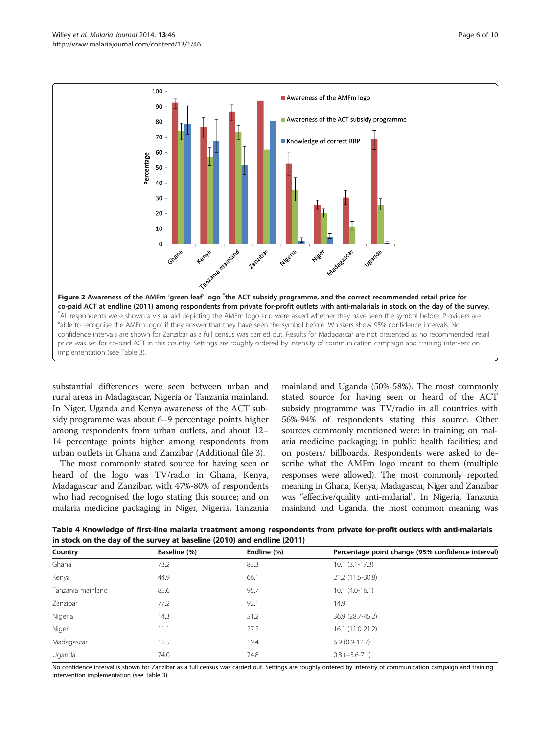<span id="page-5-0"></span>

substantial differences were seen between urban and rural areas in Madagascar, Nigeria or Tanzania mainland. In Niger, Uganda and Kenya awareness of the ACT subsidy programme was about 6–9 percentage points higher among respondents from urban outlets, and about 12– 14 percentage points higher among respondents from urban outlets in Ghana and Zanzibar (Additional file [3](#page-7-0)).

The most commonly stated source for having seen or heard of the logo was TV/radio in Ghana, Kenya, Madagascar and Zanzibar, with 47%-80% of respondents who had recognised the logo stating this source; and on malaria medicine packaging in Niger, Nigeria, Tanzania mainland and Uganda (50%-58%). The most commonly stated source for having seen or heard of the ACT subsidy programme was TV/radio in all countries with 56%-94% of respondents stating this source. Other sources commonly mentioned were: in training; on malaria medicine packaging; in public health facilities; and on posters/ billboards. Respondents were asked to describe what the AMFm logo meant to them (multiple responses were allowed). The most commonly reported meaning in Ghana, Kenya, Madagascar, Niger and Zanzibar was "effective/quality anti-malarial". In Nigeria, Tanzania mainland and Uganda, the most common meaning was

Table 4 Knowledge of first-line malaria treatment among respondents from private for-profit outlets with anti-malarials in stock on the day of the survey at baseline (2010) and endline (2011)

| Endline (%)<br>Country<br>Baseline (%) |      |      | Percentage point change (95% confidence interval) |
|----------------------------------------|------|------|---------------------------------------------------|
|                                        |      |      |                                                   |
| Ghana                                  | 73.2 | 83.3 | $10.1(3.1 - 17.3)$                                |
| Kenya                                  | 44.9 | 66.1 | 21.2 (11.5-30.8)                                  |
| Tanzania mainland                      | 85.6 | 95.7 | $10.1 (4.0-16.1)$                                 |
| Zanzibar                               | 77.2 | 92.1 | 14.9                                              |
| Nigeria                                | 14.3 | 51.2 | 36.9 (28.7-45.2)                                  |
| Niger                                  | 11.1 | 27.2 | 16.1 (11.0-21.2)                                  |
| Madagascar                             | 12.5 | 19.4 | $6.9(0.9-12.7)$                                   |
| Uganda                                 | 74.0 | 74.8 | $0.8$ ( $-5.6 - 7.1$ )                            |

No confidence interval is shown for Zanzibar as a full census was carried out. Settings are roughly ordered by intensity of communication campaign and training intervention implementation (see Table [3\)](#page-4-0).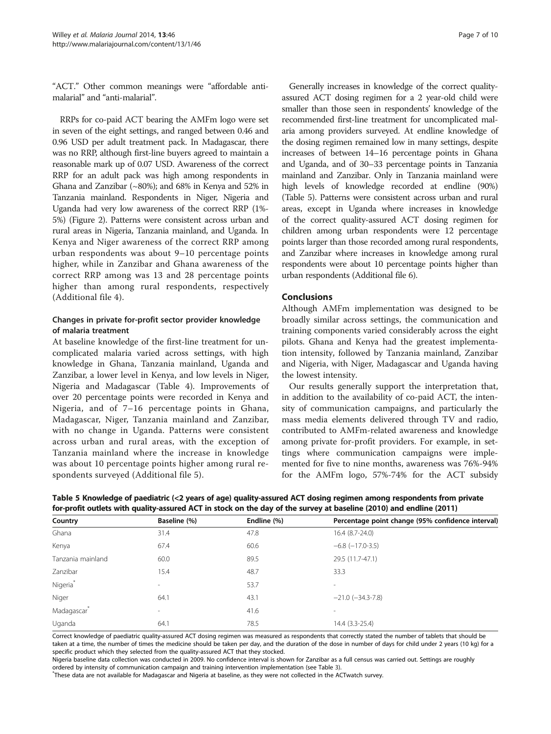"ACT." Other common meanings were "affordable antimalarial" and "anti-malarial".

RRPs for co-paid ACT bearing the AMFm logo were set in seven of the eight settings, and ranged between 0.46 and 0.96 USD per adult treatment pack. In Madagascar, there was no RRP, although first-line buyers agreed to maintain a reasonable mark up of 0.07 USD. Awareness of the correct RRP for an adult pack was high among respondents in Ghana and Zanzibar (~80%); and 68% in Kenya and 52% in Tanzania mainland. Respondents in Niger, Nigeria and Uganda had very low awareness of the correct RRP (1%- 5%) (Figure [2\)](#page-5-0). Patterns were consistent across urban and rural areas in Nigeria, Tanzania mainland, and Uganda. In Kenya and Niger awareness of the correct RRP among urban respondents was about 9–10 percentage points higher, while in Zanzibar and Ghana awareness of the correct RRP among was 13 and 28 percentage points higher than among rural respondents, respectively (Additional file [4\)](#page-8-0).

## Changes in private for-profit sector provider knowledge of malaria treatment

At baseline knowledge of the first-line treatment for uncomplicated malaria varied across settings, with high knowledge in Ghana, Tanzania mainland, Uganda and Zanzibar, a lower level in Kenya, and low levels in Niger, Nigeria and Madagascar (Table [4](#page-5-0)). Improvements of over 20 percentage points were recorded in Kenya and Nigeria, and of 7–16 percentage points in Ghana, Madagascar, Niger, Tanzania mainland and Zanzibar, with no change in Uganda. Patterns were consistent across urban and rural areas, with the exception of Tanzania mainland where the increase in knowledge was about 10 percentage points higher among rural respondents surveyed (Additional file [5\)](#page-8-0).

assured ACT dosing regimen for a 2 year-old child were smaller than those seen in respondents' knowledge of the recommended first-line treatment for uncomplicated malaria among providers surveyed. At endline knowledge of the dosing regimen remained low in many settings, despite increases of between 14–16 percentage points in Ghana and Uganda, and of 30–33 percentage points in Tanzania mainland and Zanzibar. Only in Tanzania mainland were high levels of knowledge recorded at endline (90%) (Table 5). Patterns were consistent across urban and rural areas, except in Uganda where increases in knowledge of the correct quality-assured ACT dosing regimen for children among urban respondents were 12 percentage points larger than those recorded among rural respondents, and Zanzibar where increases in knowledge among rural respondents were about 10 percentage points higher than urban respondents (Additional file [6](#page-8-0)).

## Conclusions

Although AMFm implementation was designed to be broadly similar across settings, the communication and training components varied considerably across the eight pilots. Ghana and Kenya had the greatest implementation intensity, followed by Tanzania mainland, Zanzibar and Nigeria, with Niger, Madagascar and Uganda having the lowest intensity.

Our results generally support the interpretation that, in addition to the availability of co-paid ACT, the intensity of communication campaigns, and particularly the mass media elements delivered through TV and radio, contributed to AMFm-related awareness and knowledge among private for-profit providers. For example, in settings where communication campaigns were implemented for five to nine months, awareness was 76%-94% for the AMFm logo, 57%-74% for the ACT subsidy

| TOF-profit outlets with quality-assured ACT in Stock on the day of the survey at baseline (2010) and endline (2011) |              |             |                                                   |  |
|---------------------------------------------------------------------------------------------------------------------|--------------|-------------|---------------------------------------------------|--|
| Country                                                                                                             | Baseline (%) | Endline (%) | Percentage point change (95% confidence interval) |  |
| Ghana                                                                                                               | 31.4         | 47.8        | 16.4 (8.7-24.0)                                   |  |
| Kenya                                                                                                               | 67.4         | 60.6        | $-6.8$ ( $-17.0-3.5$ )                            |  |
| Tanzania mainland                                                                                                   | 60.0         | 89.5        | 29.5 (11.7-47.1)                                  |  |
| Zanzibar                                                                                                            | 15.4         | 48.7        | 33.3                                              |  |
| Nigeria <sup>*</sup>                                                                                                | -            | 53.7        |                                                   |  |
| Niger                                                                                                               | 64.1         | 43.1        | $-21.0$ ( $-34.3-7.8$ )                           |  |
| Madagascar <sup>®</sup>                                                                                             | -            | 41.6        |                                                   |  |
| Uganda                                                                                                              | 64.1         | 78.5        | 14.4 (3.3-25.4)                                   |  |

Table 5 Knowledge of paediatric (<2 years of age) quality-assured ACT dosing regimen among respondents from private<br>for profit outlets with quality-assured ACT in stock on the day of the survey at baseline (2010) and endli for-profit outlets with quality-assured ACT in stock on the day of the survey at baseline (2010) and endline (2011)

Correct knowledge of paediatric quality-assured ACT dosing regimen was measured as respondents that correctly stated the number of tablets that should be taken at a time, the number of times the medicine should be taken per day, and the duration of the dose in number of days for child under 2 years (10 kg) for a specific product which they selected from the quality-assured ACT that they stocked.

Nigeria baseline data collection was conducted in 2009. No confidence interval is shown for Zanzibar as a full census was carried out. Settings are roughly ordered by intensity of communication campaign and training intervention implementation (see Table [3\)](#page-4-0). \*

These data are not available for Madagascar and Nigeria at baseline, as they were not collected in the ACTwatch survey.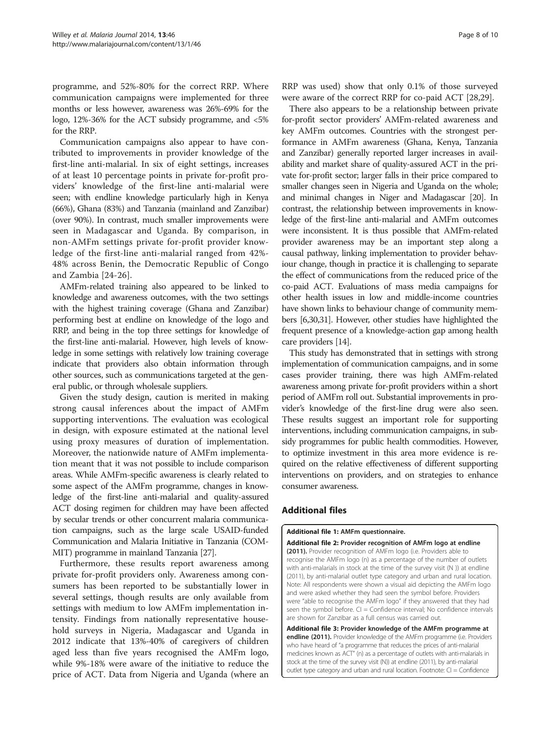<span id="page-7-0"></span>programme, and 52%-80% for the correct RRP. Where communication campaigns were implemented for three months or less however, awareness was 26%-69% for the logo, 12%-36% for the ACT subsidy programme, and <5% for the RRP.

Communication campaigns also appear to have contributed to improvements in provider knowledge of the first-line anti-malarial. In six of eight settings, increases of at least 10 percentage points in private for-profit providers' knowledge of the first-line anti-malarial were seen; with endline knowledge particularly high in Kenya (66%), Ghana (83%) and Tanzania (mainland and Zanzibar) (over 90%). In contrast, much smaller improvements were seen in Madagascar and Uganda. By comparison, in non-AMFm settings private for-profit provider knowledge of the first-line anti-malarial ranged from 42%- 48% across Benin, the Democratic Republic of Congo and Zambia [[24](#page-9-0)-[26](#page-9-0)].

AMFm-related training also appeared to be linked to knowledge and awareness outcomes, with the two settings with the highest training coverage (Ghana and Zanzibar) performing best at endline on knowledge of the logo and RRP, and being in the top three settings for knowledge of the first-line anti-malarial. However, high levels of knowledge in some settings with relatively low training coverage indicate that providers also obtain information through other sources, such as communications targeted at the general public, or through wholesale suppliers.

Given the study design, caution is merited in making strong causal inferences about the impact of AMFm supporting interventions. The evaluation was ecological in design, with exposure estimated at the national level using proxy measures of duration of implementation. Moreover, the nationwide nature of AMFm implementation meant that it was not possible to include comparison areas. While AMFm-specific awareness is clearly related to some aspect of the AMFm programme, changes in knowledge of the first-line anti-malarial and quality-assured ACT dosing regimen for children may have been affected by secular trends or other concurrent malaria communication campaigns, such as the large scale USAID-funded Communication and Malaria Initiative in Tanzania (COM-MIT) programme in mainland Tanzania [\[27\]](#page-9-0).

Furthermore, these results report awareness among private for-profit providers only. Awareness among consumers has been reported to be substantially lower in several settings, though results are only available from settings with medium to low AMFm implementation intensity. Findings from nationally representative household surveys in Nigeria, Madagascar and Uganda in 2012 indicate that 13%-40% of caregivers of children aged less than five years recognised the AMFm logo, while 9%-18% were aware of the initiative to reduce the price of ACT. Data from Nigeria and Uganda (where an

RRP was used) show that only 0.1% of those surveyed were aware of the correct RRP for co-paid ACT [\[28,29](#page-9-0)].

There also appears to be a relationship between private for-profit sector providers' AMFm-related awareness and key AMFm outcomes. Countries with the strongest performance in AMFm awareness (Ghana, Kenya, Tanzania and Zanzibar) generally reported larger increases in availability and market share of quality-assured ACT in the private for-profit sector; larger falls in their price compared to smaller changes seen in Nigeria and Uganda on the whole; and minimal changes in Niger and Madagascar [[20](#page-9-0)]. In contrast, the relationship between improvements in knowledge of the first-line anti-malarial and AMFm outcomes were inconsistent. It is thus possible that AMFm-related provider awareness may be an important step along a causal pathway, linking implementation to provider behaviour change, though in practice it is challenging to separate the effect of communications from the reduced price of the co-paid ACT. Evaluations of mass media campaigns for other health issues in low and middle-income countries have shown links to behaviour change of community members [\[6,30,31\]](#page-9-0). However, other studies have highlighted the frequent presence of a knowledge-action gap among health care providers [[14\]](#page-9-0).

This study has demonstrated that in settings with strong implementation of communication campaigns, and in some cases provider training, there was high AMFm-related awareness among private for-profit providers within a short period of AMFm roll out. Substantial improvements in provider's knowledge of the first-line drug were also seen. These results suggest an important role for supporting interventions, including communication campaigns, in subsidy programmes for public health commodities. However, to optimize investment in this area more evidence is required on the relative effectiveness of different supporting interventions on providers, and on strategies to enhance consumer awareness.

## Additional files

#### [Additional file 1:](http://www.biomedcentral.com/content/supplementary/1475-2875-13-46-S1.docx) AMFm questionnaire.

[Additional file 2:](http://www.biomedcentral.com/content/supplementary/1475-2875-13-46-S2.docx) Provider recognition of AMFm logo at endline (2011). Provider recognition of AMFm logo (i.e. Providers able to recognise the AMFm logo (n) as a percentage of the number of outlets with anti-malarials in stock at the time of the survey visit (N )) at endline (2011), by anti-malarial outlet type category and urban and rural location. Note: All respondents were shown a visual aid depicting the AMFm logo and were asked whether they had seen the symbol before. Providers were "able to recognise the AMFm logo" if they answered that they had seen the symbol before.  $CI =$  Confidence interval; No confidence intervals are shown for Zanzibar as a full census was carried out.

[Additional file 3:](http://www.biomedcentral.com/content/supplementary/1475-2875-13-46-S3.docx) Provider knowledge of the AMFm programme at endline (2011). Provider knowledge of the AMFm programme (i.e. Providers who have heard of "a programme that reduces the prices of anti-malarial medicines known as ACT" (n) as a percentage of outlets with anti-malarials in stock at the time of the survey visit (N)) at endline (2011), by anti-malarial outlet type category and urban and rural location. Footnote: CI = Confidence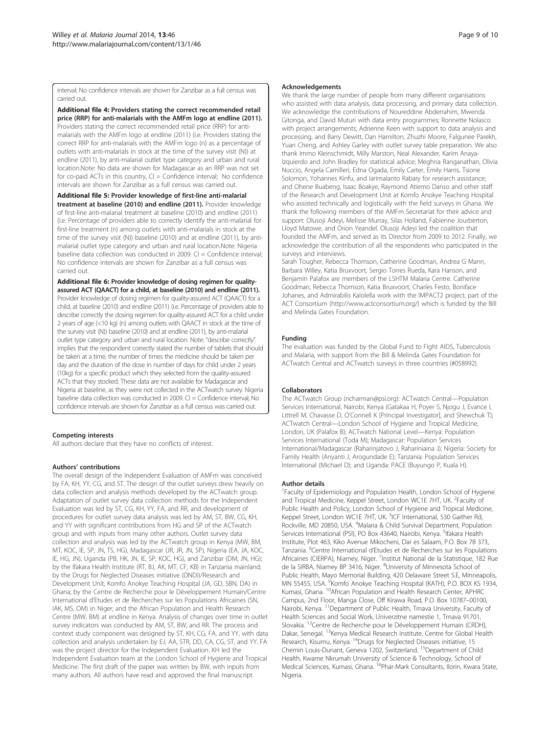<span id="page-8-0"></span>interval; No confidence intervals are shown for Zanzibar as a full census was carried out.

[Additional file 4:](http://www.biomedcentral.com/content/supplementary/1475-2875-13-46-S4.docx) Providers stating the correct recommended retail price (RRP) for anti-malarials with the AMFm logo at endline (2011). Providers stating the correct recommended retail price (RRP) for antimalarials with the AMFm logo at endline (2011) (i.e. Providers stating the correct RRP for anti-malarials with the AMFm logo (n) as a percentage of outlets with anti-malarials in stock at the time of the survey visit (N)) at endline (2011), by anti-malarial outlet type category and urban and rural location.Note: No data are shown for Madagascar as an RRP was not set for co-paid ACTs in this country,  $Cl =$  Confidence interval; No confidence intervals are shown for Zanzibar as a full census was carried out.

[Additional file 5:](http://www.biomedcentral.com/content/supplementary/1475-2875-13-46-S5.docx) Provider knowledge of first-line anti-malarial treatment at baseline (2010) and endline (2011). Provider knowledge of first-line anti-malarial treatment at baseline (2010) and endline (2011) (i.e. Percentage of providers able to correctly identify the anti-malarial for first-line treatment (n) among outlets with anti-malarials in stock at the time of the survey visit (N)) baseline (2010) and at endline (2011), by antimalarial outlet type category and urban and rural location.Note: Nigeria baseline data collection was conducted in 2009.  $Cl =$  Confidence interval; No confidence intervals are shown for Zanzibar as a full census was carried out.

[Additional file 6:](http://www.biomedcentral.com/content/supplementary/1475-2875-13-46-S6.docx) Provider knowledge of dosing regimen for qualityassured ACT (QAACT) for a child, at baseline (2010) and endline (2011). Provider knowledge of dosing regimen for quality-assured ACT (QAACT) for a child, at baseline (2010) and endline (2011) (i.e. Percentage of providers able to describe correctly the dosing regimen for quality-assured ACT for a child under 2 years of age (<10 kg) (n) among outlets with QAACT in stock at the time of the survey visit (N)) baseline (2010) and at endline (2011), by anti-malarial outlet type category and urban and rural location. Note: "describe correctly" implies that the respondent correctly stated the number of tablets that should be taken at a time, the number of times the medicine should be taken per day and the duration of the dose in number of days for child under 2 years (10kg) for a specific product which they selected from the quality-assured ACTs that they stocked. These data are not available for Madagascar and Nigeria at baseline, as they were not collected in the ACTwatch survey. Nigeria baseline data collection was conducted in 2009. CI = Confidence interval; No confidence intervals are shown for Zanzibar as a full census was carried out.

#### Competing interests

All authors declare that they have no conflicts of interest.

#### Authors' contributions

The overall design of the Independent Evaluation of AMFm was conceived by FA, KH, YY, CG, and ST. The design of the outlet surveys drew heavily on data collection and analysis methods developed by the ACTwatch group. Adaptation of outlet survey data collection methods for the Independent Evaluation was led by ST, CG, KH, YY, FA, and RR, and development of procedures for outlet survey data analysis was led by AM, ST, BW, CG, KH, and YY with significant contributions from HG and SP of the ACTwatch group and with inputs from many other authors. Outlet survey data collection and analysis was led by the ACTwatch group in Kenya (MW, BM, MT, KOC, IE, SP, JN, TS, HG), Madagascar (JR, JR, JN, SP), Nigeria (EA, JA, KOC, IE, HG, JN), Uganda (PB, HK, JN, IE, SP, KOC, HG), and Zanzibar (DM, JN, HG); by the Ifakara Health Institute (RT, BJ, AK, MT, CF, KB) in Tanzania mainland; by the Drugs for Neglected Diseases initiative (DNDi)/Research and Development Unit, Komfo Anokye Teaching Hospital (JA, GD, SBN, DA) in Ghana; by the Centre de Recherche pour le Développement Humain/Centre International d'Etudes et de Recherches sur les Populations Africaines (SN, IAK, MS, OM) in Niger; and the African Population and Health Research Centre (MW, BM) at endline in Kenya. Analysis of changes over time in outlet survey indicators was conducted by AM, ST, BW, and RR. The process and context study component was designed by ST, KH, CG, FA, and YY, with data collection and analysis undertaken by EJ, AA, STR, DD, CA, CG, ST, and YY. FA was the project director for the Independent Evaluation. KH led the Independent Evaluation team at the London School of Hygiene and Tropical Medicine. The first draft of the paper was written by BW, with inputs from many authors. All authors have read and approved the final manuscript.

#### Acknowledgements

We thank the large number of people from many different organisations who assisted with data analysis, data processing, and primary data collection. We acknowledge the contributions of Noureddine Abderrahim, Mwenda Gitonga, and David Muturi with data entry programmes; Ronnette Nolasco with project arrangements; Adrienne Keen with support to data analysis and processing, and Barry Dewitt, Dan Hamilton, Zhuzhi Moore, Falgunee Parekh, Yuan Cheng, and Ashley Garley with outlet survey table preparation. We also thank Immo Kleinschmidt, Milly Marston, Neal Alexander, Karim Anaya-Izquierdo and John Bradley for statistical advice; Meghna Ranganathan, Olivia Nuccio, Angela Camilleri, Edna Ogada, Emily Carter, Emily Harris, Tsione Solomon, Yohannes Kinfu, and Iarimalanto Rabary for research assistance; and Ohene Buabeng, Isaac Boakye, Raymond Atiemo Danso and other staff of the Research and Development Unit at Komfo Anokye Teaching Hospital who assisted technically and logistically with the field surveys in Ghana. We thank the following members of the AMFm Secretariat for their advice and support: Olusoji Adeyi, Melisse Murray, Silas Holland, Fabienne Jourberton, Lloyd Matowe, and Orion Yeandel. Olusoji Adeyi led the coalition that founded the AMFm, and served as its Director from 2009 to 2012. Finally, we acknowledge the contribution of all the respondents who participated in the surveys and interviews.

Sarah Tougher, Rebecca Thomson, Catherine Goodman, Andrea G Mann, Barbara Willey, Katia Bruxvoort, Sergio Torres Rueda, Kara Hanson, and Benjamin Palafox are members of the LSHTM Malaria Centre. Catherine Goodman, Rebecca Thomson, Katia Bruxvoort, Charles Festo, Boniface Johanes, and Admirabilis Kalolella work with the IMPACT2 project, part of the ACT Consortium [\(http://www.actconsortium.org/\)](http://www.actconsortium.org/) which is funded by the Bill and Melinda Gates Foundation.

#### Funding

The evaluation was funded by the Global Fund to Fight AIDS, Tuberculosis and Malaria, with support from the Bill & Melinda Gates Foundation for ACTwatch Central and ACTwatch surveys in three countries (#058992).

#### Collaborators

The ACTwatch Group (ncharman@psi.org): ACTwatch Central—Population Services International, Nairobi, Kenya (Gatakaa H, Poyer S, Njogu J, Evance I, Littrell M, Chavasse D, O'Connell K [Principal Investigator], and Shewchuk T); ACTwatch Central—London School of Hygiene and Tropical Medicine, London, UK (Palafox B); ACTwatch National Level—Kenya: Population Services International (Toda M); Madagascar: Population Services International/Madagascar (Raharinjatovo J, Rahariniaina J); Nigeria: Society for Family Health (Anyanti J, Arogundade E); Tanzania: Population Services International (Michael D); and Uganda: PACE (Buyungo P, Kuala H).

#### Author details

<sup>1</sup> Faculty of Epidemiology and Population Health, London School of Hygiene and Tropical Medicine, Keppel Street, London WC1E 7HT, UK. <sup>2</sup>Faculty of Public Health and Policy, London School of Hygiene and Tropical Medicine, Keppel Street, London WC1E 7HT, UK. <sup>3</sup>ICF International, 530 Gaither Rd Rockville, MD 20850, USA. <sup>4</sup>Malaria & Child Survival Department, Population Services International (PSI), PO Box 43640, Nairobi, Kenya. <sup>5</sup>Ifakara Health Institute, Plot 463, Kiko Avenue Mikocheni, Dar es Salaam, P.O. Box 78 373, Tanzania. <sup>6</sup>Centre International d'Etudes et de Recherches sur les Populations Africaines (CIERPA), Niamey, Niger. <sup>7</sup>Institut National de la Statistique, 182 Rue de la SIRBA, Niamey BP 3416, Niger. <sup>8</sup>University of Minnesota School of Public Health, Mayo Memorial Building, 420 Delaware Street S.E, Minneapolis, MN 55455, USA. <sup>9</sup>Komfo Anokye Teaching Hospital (KATH), P.O. BOX KS 1934,<br>Kumasi, Ghana. <sup>10</sup>African Population and Health Research Center, APHRC Campus, 2nd Floor, Manga Close, Off Kirawa Road, P.O. Box 10787–00100, Nairobi, Kenya. 11Department of Public Health, Trnava University, Faculty of Health Sciences and Social Work, Univerzitne namestie 1, Trnava 91701, Slovakia. 12Centre de Recherche pour le Développement Humain (CRDH), Dakar, Senegal. <sup>13</sup>Kenya Medical Research Institute, Centre for Global Health Research, Kisumu, Kenya. <sup>14</sup>Drugs for Neglected Diseases initiative, 15 Chemin Louis-Dunant, Geneva 1202, Switzerland. 15Department of Child Health, Kwame Nkrumah University of Science & Technology, School of<br>Medical Sciences, Kumasi, Ghana. <sup>16</sup>Phar-Mark Consultants, Ilorin, Kwara State Nigeria.